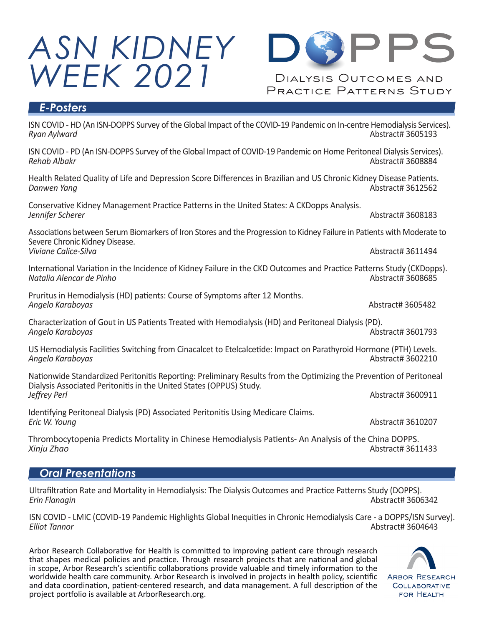



#### *E-Posters*

ISN COVID - HD (An ISN-DOPPS Survey of the Global Impact of the COVID-19 Pandemic on In-centre Hemodialysis Services). *Ryan Aylward* Abstract# 3605193

ISN COVID - PD (An ISN-DOPPS Survey of the Global Impact of COVID-19 Pandemic on Home Peritoneal Dialysis Services). *Rehab Albakr* Abstract# 3608884

Health Related Quality of Life and Depression Score Differences in Brazilian and US Chronic Kidney Disease Patients. *Danwen Yang* Abstract# 3612562

Conservative Kidney Management Practice Patterns in the United States: A CKDopps Analysis. *Jennifer Scherer* Abstract# 3608183

Associations between Serum Biomarkers of Iron Stores and the Progression to Kidney Failure in Patients with Moderate to Severe Chronic Kidney Disease. *Viviane Calice-Silva* Abstract# 3611494

International Variation in the Incidence of Kidney Failure in the CKD Outcomes and Practice Patterns Study (CKDopps).<br>Natalia Alencar de Pinho *Natalia Alencar de Pinho* 

Pruritus in Hemodialysis (HD) patients: Course of Symptoms after 12 Months.<br>Angelo Karaboyas and Abstract# 3605482 **Angelo Karaboyas** 

Characterization of Gout in US Patients Treated with Hemodialysis (HD) and Peritoneal Dialysis (PD). *Angelo Karaboyas* Abstract# 3601793

US Hemodialysis Facilities Switching from Cinacalcet to Etelcalcetide: Impact on Parathyroid Hormone (PTH) Levels. *Angelo Karaboyas* Abstract# 3602210

Nationwide Standardized Peritonitis Reporting: Preliminary Results from the Optimizing the Prevention of Peritoneal Dialysis Associated Peritonitis in the United States (OPPUS) Study.<br>Jeffrey Perl *Jeffrey Perl* Abstract# 3600911

Identifying Peritoneal Dialysis (PD) Associated Peritonitis Using Medicare Claims.<br>Eric W. Young

Thrombocytopenia Predicts Mortality in Chinese Hemodialysis Patients- An Analysis of the China DOPPS. *Xinju Zhao* Abstract# 3611433

#### *Oral Presentations*

Ultrafiltration Rate and Mortality in Hemodialysis: The Dialysis Outcomes and Practice Patterns Study (DOPPS). *Erin Flanagin* Abstract# 3606342

ISN COVID - LMIC (COVID-19 Pandemic Highlights Global Inequities in Chronic Hemodialysis Care - a DOPPS/ISN Survey). *Elliot Tannor* Abstract# 3604643

Arbor Research Collaborative for Health is committed to improving patient care through research that shapes medical policies and practice. Through research projects that are national and global in scope, Arbor Research's scientific collaborations provide valuable and timely information to the worldwide health care community. Arbor Research is involved in projects in health policy, scientific and data coordination, patient-centered research, and data management. A full description of the project portfolio is available at ArborResearch.org.



*Eric W. Young* Abstract# 3610207